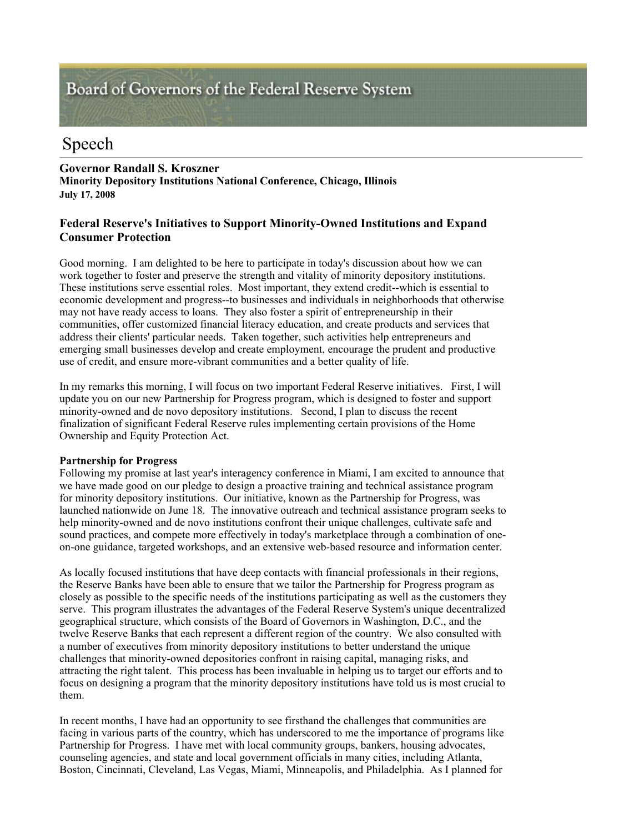# Board of Governors of the Federal Reserve System

# Speech

## **Governor Randall S. Kroszner**

**Minority Depository Institutions National Conference, Chicago, Illinois July 17, 2008** 

# **Federal Reserve's Initiatives to Support Minority-Owned Institutions and Expand Consumer Protection**

Good morning. I am delighted to be here to participate in today's discussion about how we can work together to foster and preserve the strength and vitality of minority depository institutions. These institutions serve essential roles. Most important, they extend credit--which is essential to economic development and progress--to businesses and individuals in neighborhoods that otherwise may not have ready access to loans. They also foster a spirit of entrepreneurship in their communities, offer customized financial literacy education, and create products and services that address their clients' particular needs. Taken together, such activities help entrepreneurs and emerging small businesses develop and create employment, encourage the prudent and productive use of credit, and ensure more-vibrant communities and a better quality of life.

In my remarks this morning, I will focus on two important Federal Reserve initiatives. First, I will update you on our new Partnership for Progress program, which is designed to foster and support minority-owned and de novo depository institutions. Second, I plan to discuss the recent finalization of significant Federal Reserve rules implementing certain provisions of the Home Ownership and Equity Protection Act.

#### **Partnership for Progress**

Following my promise at last year's interagency conference in Miami, I am excited to announce that we have made good on our pledge to design a proactive training and technical assistance program for minority depository institutions. Our initiative, known as the Partnership for Progress, was launched nationwide on June 18. The innovative outreach and technical assistance program seeks to help minority-owned and de novo institutions confront their unique challenges, cultivate safe and sound practices, and compete more effectively in today's marketplace through a combination of oneon-one guidance, targeted workshops, and an extensive web-based resource and information center.

As locally focused institutions that have deep contacts with financial professionals in their regions, the Reserve Banks have been able to ensure that we tailor the Partnership for Progress program as closely as possible to the specific needs of the institutions participating as well as the customers they serve. This program illustrates the advantages of the Federal Reserve System's unique decentralized geographical structure, which consists of the Board of Governors in Washington, D.C., and the twelve Reserve Banks that each represent a different region of the country. We also consulted with a number of executives from minority depository institutions to better understand the unique challenges that minority-owned depositories confront in raising capital, managing risks, and attracting the right talent. This process has been invaluable in helping us to target our efforts and to focus on designing a program that the minority depository institutions have told us is most crucial to them.

In recent months, I have had an opportunity to see firsthand the challenges that communities are facing in various parts of the country, which has underscored to me the importance of programs like Partnership for Progress. I have met with local community groups, bankers, housing advocates, counseling agencies, and state and local government officials in many cities, including Atlanta, Boston, Cincinnati, Cleveland, Las Vegas, Miami, Minneapolis, and Philadelphia. As I planned for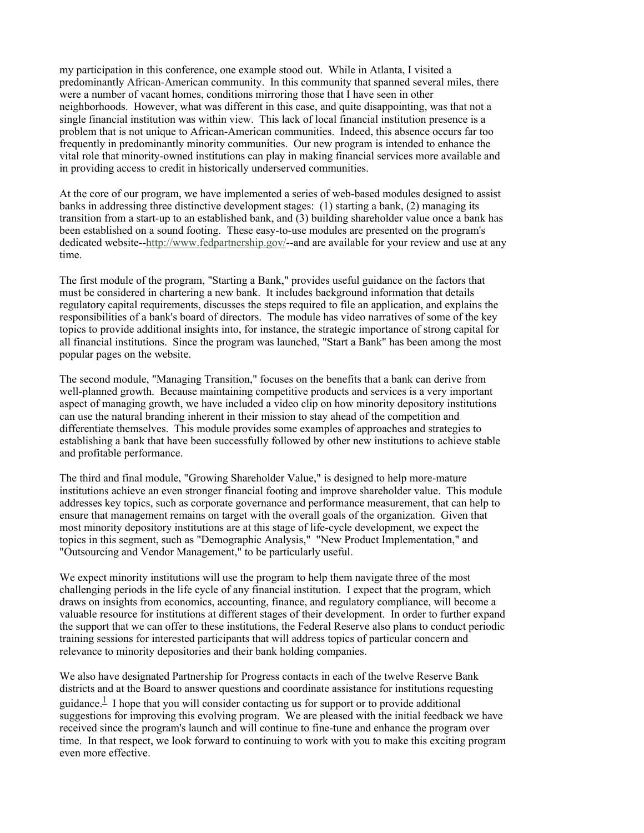my participation in this conference, one example stood out. While in Atlanta, I visited a predominantly African-American community. In this community that spanned several miles, there were a number of vacant homes, conditions mirroring those that I have seen in other neighborhoods. However, what was different in this case, and quite disappointing, was that not a single financial institution was within view. This lack of local financial institution presence is a problem that is not unique to African-American communities. Indeed, this absence occurs far too frequently in predominantly minority communities. Our new program is intended to enhance the vital role that minority-owned institutions can play in making financial services more available and in providing access to credit in historically underserved communities.

At the core of our program, we have implemented a series of web-based modules designed to assist banks in addressing three distinctive development stages: (1) starting a bank, (2) managing its transition from a start-up to an established bank, and (3) building shareholder value once a bank has been established on a sound footing. These easy-to-use modules are presented on the program's dedicated website--http://www.fedpartnership.gov/--and are available for your review and use at any time.

The first module of the program, "Starting a Bank," provides useful guidance on the factors that must be considered in chartering a new bank. It includes background information that details regulatory capital requirements, discusses the steps required to file an application, and explains the responsibilities of a bank's board of directors. The module has video narratives of some of the key topics to provide additional insights into, for instance, the strategic importance of strong capital for all financial institutions. Since the program was launched, "Start a Bank" has been among the most popular pages on the website.

The second module, "Managing Transition," focuses on the benefits that a bank can derive from well-planned growth. Because maintaining competitive products and services is a very important aspect of managing growth, we have included a video clip on how minority depository institutions can use the natural branding inherent in their mission to stay ahead of the competition and differentiate themselves. This module provides some examples of approaches and strategies to establishing a bank that have been successfully followed by other new institutions to achieve stable and profitable performance.

The third and final module, "Growing Shareholder Value," is designed to help more-mature institutions achieve an even stronger financial footing and improve shareholder value. This module addresses key topics, such as corporate governance and performance measurement, that can help to ensure that management remains on target with the overall goals of the organization. Given that most minority depository institutions are at this stage of life-cycle development, we expect the topics in this segment, such as "Demographic Analysis," "New Product Implementation," and "Outsourcing and Vendor Management," to be particularly useful.

We expect minority institutions will use the program to help them navigate three of the most challenging periods in the life cycle of any financial institution. I expect that the program, which draws on insights from economics, accounting, finance, and regulatory compliance, will become a valuable resource for institutions at different stages of their development. In order to further expand the support that we can offer to these institutions, the Federal Reserve also plans to conduct periodic training sessions for interested participants that will address topics of particular concern and relevance to minority depositories and their bank holding companies.

We also have designated Partnership for Progress contacts in each of the twelve Reserve Bank districts and at the Board to answer questions and coordinate assistance for institutions requesting guidance.<sup> $\perp$ </sup> I hope that you will consider contacting us for support or to provide additional suggestions for improving this evolving program. We are pleased with the initial feedback we have received since the program's launch and will continue to fine-tune and enhance the program over time. In that respect, we look forward to continuing to work with you to make this exciting program even more effective.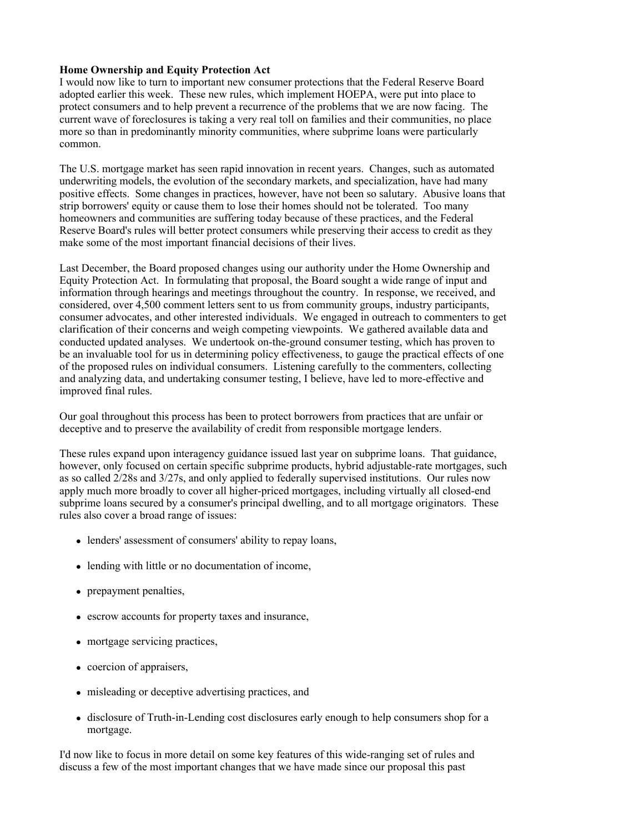#### **Home Ownership and Equity Protection Act**

I would now like to turn to important new consumer protections that the Federal Reserve Board adopted earlier this week. These new rules, which implement HOEPA, were put into place to protect consumers and to help prevent a recurrence of the problems that we are now facing. The current wave of foreclosures is taking a very real toll on families and their communities, no place more so than in predominantly minority communities, where subprime loans were particularly common.

The U.S. mortgage market has seen rapid innovation in recent years. Changes, such as automated underwriting models, the evolution of the secondary markets, and specialization, have had many positive effects. Some changes in practices, however, have not been so salutary. Abusive loans that strip borrowers' equity or cause them to lose their homes should not be tolerated. Too many homeowners and communities are suffering today because of these practices, and the Federal Reserve Board's rules will better protect consumers while preserving their access to credit as they make some of the most important financial decisions of their lives.

Last December, the Board proposed changes using our authority under the Home Ownership and Equity Protection Act. In formulating that proposal, the Board sought a wide range of input and information through hearings and meetings throughout the country. In response, we received, and considered, over 4,500 comment letters sent to us from community groups, industry participants, consumer advocates, and other interested individuals. We engaged in outreach to commenters to get clarification of their concerns and weigh competing viewpoints. We gathered available data and conducted updated analyses. We undertook on-the-ground consumer testing, which has proven to be an invaluable tool for us in determining policy effectiveness, to gauge the practical effects of one of the proposed rules on individual consumers. Listening carefully to the commenters, collecting and analyzing data, and undertaking consumer testing, I believe, have led to more-effective and improved final rules.

Our goal throughout this process has been to protect borrowers from practices that are unfair or deceptive and to preserve the availability of credit from responsible mortgage lenders.

These rules expand upon interagency guidance issued last year on subprime loans. That guidance, however, only focused on certain specific subprime products, hybrid adjustable-rate mortgages, such as so called 2/28s and 3/27s, and only applied to federally supervised institutions. Our rules now apply much more broadly to cover all higher-priced mortgages, including virtually all closed-end subprime loans secured by a consumer's principal dwelling, and to all mortgage originators. These rules also cover a broad range of issues:

- lenders' assessment of consumers' ability to repay loans,
- lending with little or no documentation of income,
- prepayment penalties,
- escrow accounts for property taxes and insurance,
- mortgage servicing practices,
- coercion of appraisers,
- misleading or deceptive advertising practices, and
- disclosure of Truth-in-Lending cost disclosures early enough to help consumers shop for a mortgage.

I'd now like to focus in more detail on some key features of this wide-ranging set of rules and discuss a few of the most important changes that we have made since our proposal this past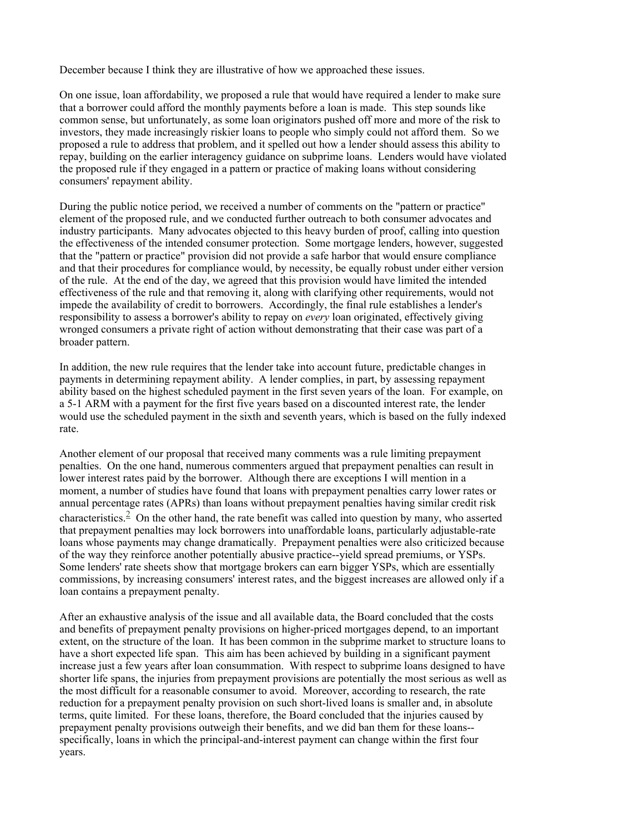December because I think they are illustrative of how we approached these issues.

On one issue, loan affordability, we proposed a rule that would have required a lender to make sure that a borrower could afford the monthly payments before a loan is made. This step sounds like common sense, but unfortunately, as some loan originators pushed off more and more of the risk to investors, they made increasingly riskier loans to people who simply could not afford them. So we proposed a rule to address that problem, and it spelled out how a lender should assess this ability to repay, building on the earlier interagency guidance on subprime loans. Lenders would have violated the proposed rule if they engaged in a pattern or practice of making loans without considering consumers' repayment ability.

During the public notice period, we received a number of comments on the "pattern or practice" element of the proposed rule, and we conducted further outreach to both consumer advocates and industry participants. Many advocates objected to this heavy burden of proof, calling into question the effectiveness of the intended consumer protection. Some mortgage lenders, however, suggested that the "pattern or practice" provision did not provide a safe harbor that would ensure compliance and that their procedures for compliance would, by necessity, be equally robust under either version of the rule. At the end of the day, we agreed that this provision would have limited the intended effectiveness of the rule and that removing it, along with clarifying other requirements, would not impede the availability of credit to borrowers. Accordingly, the final rule establishes a lender's responsibility to assess a borrower's ability to repay on *every* loan originated, effectively giving wronged consumers a private right of action without demonstrating that their case was part of a broader pattern.

In addition, the new rule requires that the lender take into account future, predictable changes in payments in determining repayment ability. A lender complies, in part, by assessing repayment ability based on the highest scheduled payment in the first seven years of the loan. For example, on a 5-1 ARM with a payment for the first five years based on a discounted interest rate, the lender would use the scheduled payment in the sixth and seventh years, which is based on the fully indexed rate.

Another element of our proposal that received many comments was a rule limiting prepayment penalties. On the one hand, numerous commenters argued that prepayment penalties can result in lower interest rates paid by the borrower. Although there are exceptions I will mention in a moment, a number of studies have found that loans with prepayment penalties carry lower rates or annual percentage rates (APRs) than loans without prepayment penalties having similar credit risk characteristics.<sup>2</sup> On the other hand, the rate benefit was called into question by many, who asserted that prepayment penalties may lock borrowers into unaffordable loans, particularly adjustable-rate loans whose payments may change dramatically. Prepayment penalties were also criticized because of the way they reinforce another potentially abusive practice--yield spread premiums, or YSPs. Some lenders' rate sheets show that mortgage brokers can earn bigger YSPs, which are essentially commissions, by increasing consumers' interest rates, and the biggest increases are allowed only if a loan contains a prepayment penalty.

After an exhaustive analysis of the issue and all available data, the Board concluded that the costs and benefits of prepayment penalty provisions on higher-priced mortgages depend, to an important extent, on the structure of the loan. It has been common in the subprime market to structure loans to have a short expected life span. This aim has been achieved by building in a significant payment increase just a few years after loan consummation. With respect to subprime loans designed to have shorter life spans, the injuries from prepayment provisions are potentially the most serious as well as the most difficult for a reasonable consumer to avoid. Moreover, according to research, the rate reduction for a prepayment penalty provision on such short-lived loans is smaller and, in absolute terms, quite limited. For these loans, therefore, the Board concluded that the injuries caused by prepayment penalty provisions outweigh their benefits, and we did ban them for these loans- specifically, loans in which the principal-and-interest payment can change within the first four years.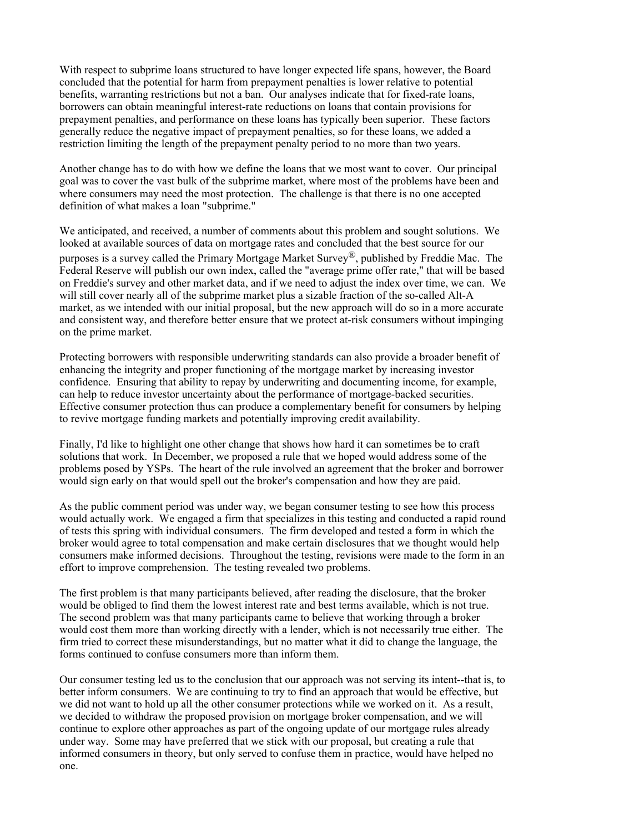With respect to subprime loans structured to have longer expected life spans, however, the Board concluded that the potential for harm from prepayment penalties is lower relative to potential benefits, warranting restrictions but not a ban. Our analyses indicate that for fixed-rate loans, borrowers can obtain meaningful interest-rate reductions on loans that contain provisions for prepayment penalties, and performance on these loans has typically been superior. These factors generally reduce the negative impact of prepayment penalties, so for these loans, we added a restriction limiting the length of the prepayment penalty period to no more than two years.

Another change has to do with how we define the loans that we most want to cover. Our principal goal was to cover the vast bulk of the subprime market, where most of the problems have been and where consumers may need the most protection. The challenge is that there is no one accepted definition of what makes a loan "subprime."

We anticipated, and received, a number of comments about this problem and sought solutions. We looked at available sources of data on mortgage rates and concluded that the best source for our purposes is a survey called the Primary Mortgage Market Survey<sup>®</sup>, published by Freddie Mac. The Federal Reserve will publish our own index, called the "average prime offer rate," that will be based on Freddie's survey and other market data, and if we need to adjust the index over time, we can. We will still cover nearly all of the subprime market plus a sizable fraction of the so-called Alt-A market, as we intended with our initial proposal, but the new approach will do so in a more accurate and consistent way, and therefore better ensure that we protect at-risk consumers without impinging on the prime market.

Protecting borrowers with responsible underwriting standards can also provide a broader benefit of enhancing the integrity and proper functioning of the mortgage market by increasing investor confidence. Ensuring that ability to repay by underwriting and documenting income, for example, can help to reduce investor uncertainty about the performance of mortgage-backed securities. Effective consumer protection thus can produce a complementary benefit for consumers by helping to revive mortgage funding markets and potentially improving credit availability.

Finally, I'd like to highlight one other change that shows how hard it can sometimes be to craft solutions that work. In December, we proposed a rule that we hoped would address some of the problems posed by YSPs. The heart of the rule involved an agreement that the broker and borrower would sign early on that would spell out the broker's compensation and how they are paid.

As the public comment period was under way, we began consumer testing to see how this process would actually work. We engaged a firm that specializes in this testing and conducted a rapid round of tests this spring with individual consumers. The firm developed and tested a form in which the broker would agree to total compensation and make certain disclosures that we thought would help consumers make informed decisions. Throughout the testing, revisions were made to the form in an effort to improve comprehension. The testing revealed two problems.

The first problem is that many participants believed, after reading the disclosure, that the broker would be obliged to find them the lowest interest rate and best terms available, which is not true. The second problem was that many participants came to believe that working through a broker would cost them more than working directly with a lender, which is not necessarily true either. The firm tried to correct these misunderstandings, but no matter what it did to change the language, the forms continued to confuse consumers more than inform them.

Our consumer testing led us to the conclusion that our approach was not serving its intent--that is, to better inform consumers. We are continuing to try to find an approach that would be effective, but we did not want to hold up all the other consumer protections while we worked on it. As a result, we decided to withdraw the proposed provision on mortgage broker compensation, and we will continue to explore other approaches as part of the ongoing update of our mortgage rules already under way. Some may have preferred that we stick with our proposal, but creating a rule that informed consumers in theory, but only served to confuse them in practice, would have helped no one.